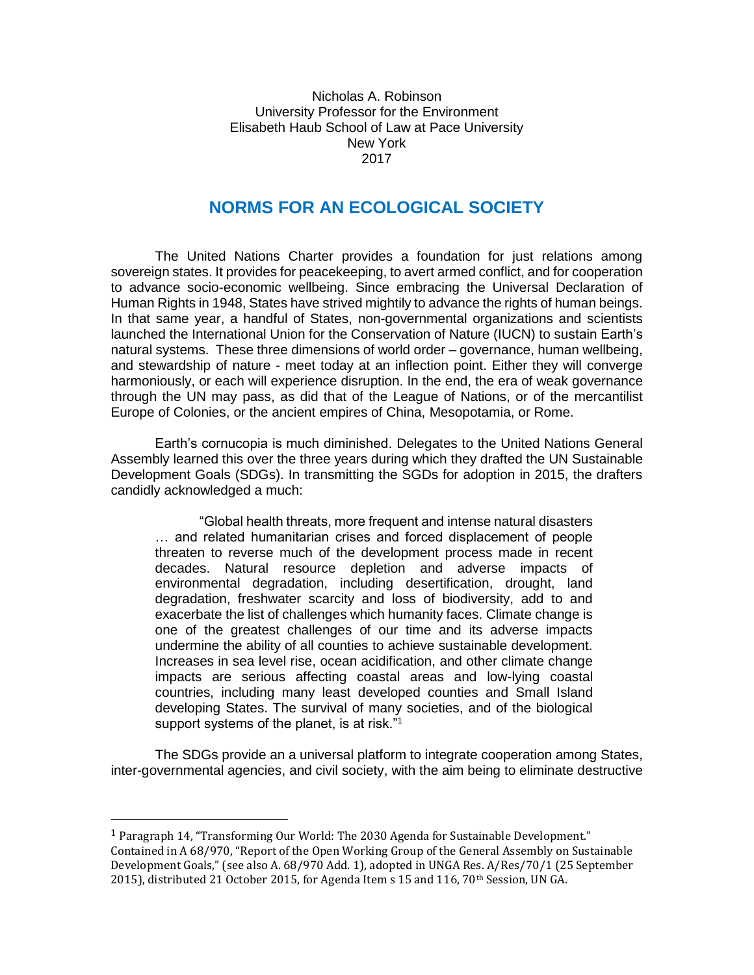Nicholas A. Robinson University Professor for the Environment Elisabeth Haub School of Law at Pace University New York 2017

## **NORMS FOR AN ECOLOGICAL SOCIETY**

The United Nations Charter provides a foundation for just relations among sovereign states. It provides for peacekeeping, to avert armed conflict, and for cooperation to advance socio-economic wellbeing. Since embracing the Universal Declaration of Human Rights in 1948, States have strived mightily to advance the rights of human beings. In that same year, a handful of States, non-governmental organizations and scientists launched the International Union for the Conservation of Nature (IUCN) to sustain Earth's natural systems. These three dimensions of world order – governance, human wellbeing, and stewardship of nature - meet today at an inflection point. Either they will converge harmoniously, or each will experience disruption. In the end, the era of weak governance through the UN may pass, as did that of the League of Nations, or of the mercantilist Europe of Colonies, or the ancient empires of China, Mesopotamia, or Rome.

Earth's cornucopia is much diminished. Delegates to the United Nations General Assembly learned this over the three years during which they drafted the UN Sustainable Development Goals (SDGs). In transmitting the SGDs for adoption in 2015, the drafters candidly acknowledged a much:

"Global health threats, more frequent and intense natural disasters … and related humanitarian crises and forced displacement of people threaten to reverse much of the development process made in recent decades. Natural resource depletion and adverse impacts of environmental degradation, including desertification, drought, land degradation, freshwater scarcity and loss of biodiversity, add to and exacerbate the list of challenges which humanity faces. Climate change is one of the greatest challenges of our time and its adverse impacts undermine the ability of all counties to achieve sustainable development. Increases in sea level rise, ocean acidification, and other climate change impacts are serious affecting coastal areas and low-lying coastal countries, including many least developed counties and Small Island developing States. The survival of many societies, and of the biological support systems of the planet, is at risk."<sup>1</sup>

The SDGs provide an a universal platform to integrate cooperation among States, inter-governmental agencies, and civil society, with the aim being to eliminate destructive

l

<sup>1</sup> Paragraph 14, "Transforming Our World: The 2030 Agenda for Sustainable Development." Contained in A 68/970, "Report of the Open Working Group of the General Assembly on Sustainable Development Goals," (see also A. 68/970 Add. 1), adopted in UNGA Res. A/Res/70/1 (25 September 2015), distributed 21 October 2015, for Agenda Item s 15 and 116, 70th Session, UN GA.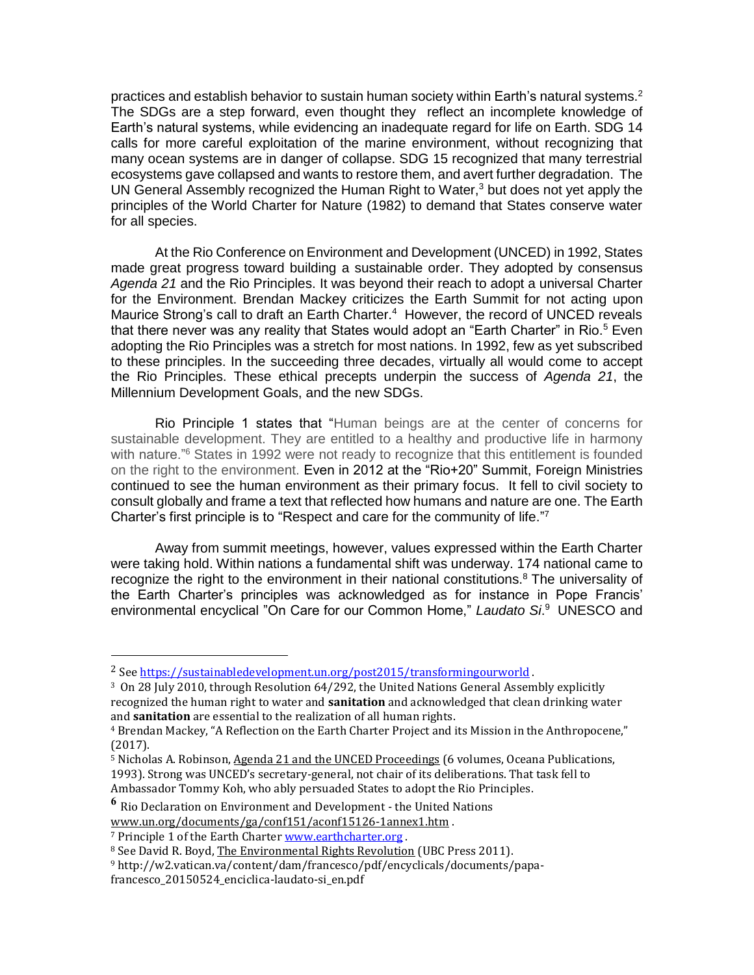practices and establish behavior to sustain human society within Earth's natural systems.<sup>2</sup> The SDGs are a step forward, even thought they reflect an incomplete knowledge of Earth's natural systems, while evidencing an inadequate regard for life on Earth. SDG 14 calls for more careful exploitation of the marine environment, without recognizing that many ocean systems are in danger of collapse. SDG 15 recognized that many terrestrial ecosystems gave collapsed and wants to restore them, and avert further degradation. The UN General Assembly recognized the Human Right to Water,<sup>3</sup> but does not yet apply the principles of the World Charter for Nature (1982) to demand that States conserve water for all species.

At the Rio Conference on Environment and Development (UNCED) in 1992, States made great progress toward building a sustainable order. They adopted by consensus *Agenda 21* and the Rio Principles. It was beyond their reach to adopt a universal Charter for the Environment. Brendan Mackey criticizes the Earth Summit for not acting upon Maurice Strong's call to draft an Earth Charter.<sup>4</sup> However, the record of UNCED reveals that there never was any reality that States would adopt an "Earth Charter" in Rio.<sup>5</sup> Even adopting the Rio Principles was a stretch for most nations. In 1992, few as yet subscribed to these principles. In the succeeding three decades, virtually all would come to accept the Rio Principles. These ethical precepts underpin the success of *Agenda 21*, the Millennium Development Goals, and the new SDGs.

Rio Principle 1 states that "Human beings are at the center of concerns for sustainable development. They are entitled to a healthy and productive life in harmony with nature.<sup>"6</sup> States in 1992 were not ready to recognize that this entitlement is founded on the right to the environment. Even in 2012 at the "Rio+20" Summit, Foreign Ministries continued to see the human environment as their primary focus. It fell to civil society to consult globally and frame a text that reflected how humans and nature are one. The Earth Charter's first principle is to "Respect and care for the community of life."7

Away from summit meetings, however, values expressed within the Earth Charter were taking hold. Within nations a fundamental shift was underway. 174 national came to recognize the right to the environment in their national constitutions.<sup>8</sup> The universality of the Earth Charter's principles was acknowledged as for instance in Pope Francis' environmental encyclical "On Care for our Common Home," *Laudato Si*. <sup>9</sup> UNESCO and

**<sup>6</sup>** [Rio Declaration on Environment and Development -](http://www.un.org/documents/ga/conf151/aconf15126-1annex1.htm) the United Nations [www.un.org/documents/ga/conf151/aconf15126-1annex1.htm](http://www.un.org/documents/ga/conf151/aconf15126-1annex1.htm) .

l

<sup>&</sup>lt;sup>2</sup> See<https://sustainabledevelopment.un.org/post2015/transformingourworld>.

<sup>3</sup> On 28 July 2010, through Resolution 64/292, the United Nations General Assembly explicitly recognized the human right to water and **sanitation** and acknowledged that clean drinking water and **sanitation** are essential to the realization of all human rights.

<sup>4</sup> Brendan Mackey, "A Reflection on the Earth Charter Project and its Mission in the Anthropocene," (2017).

<sup>5</sup> Nicholas A. Robinson, Agenda 21 and the UNCED Proceedings (6 volumes, Oceana Publications, 1993). Strong was UNCED's secretary-general, not chair of its deliberations. That task fell to Ambassador Tommy Koh, who ably persuaded States to adopt the Rio Principles.

<sup>7</sup> Principle 1 of the Earth Charte[r www.earthcharter.org](http://www.earthcharter.org/) .

<sup>&</sup>lt;sup>8</sup> See David R. Boyd, The Environmental Rights Revolution (UBC Press 2011).

<sup>9</sup> http://w2.vatican.va/content/dam/francesco/pdf/encyclicals/documents/papafrancesco\_20150524\_enciclica-laudato-si\_en.pdf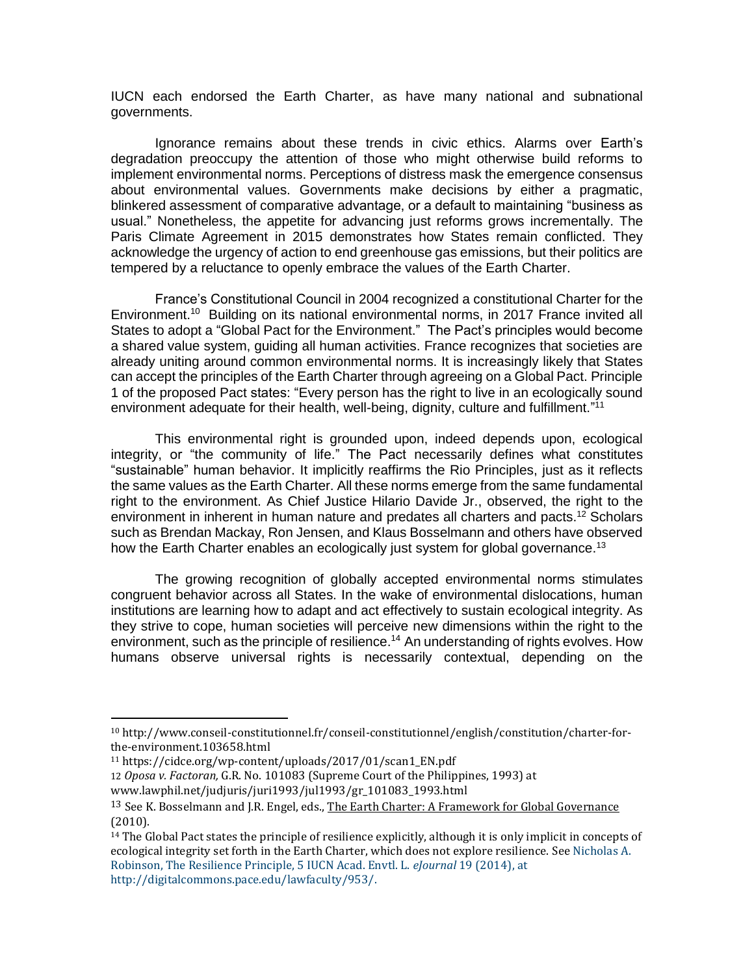IUCN each endorsed the Earth Charter, as have many national and subnational governments.

Ignorance remains about these trends in civic ethics. Alarms over Earth's degradation preoccupy the attention of those who might otherwise build reforms to implement environmental norms. Perceptions of distress mask the emergence consensus about environmental values. Governments make decisions by either a pragmatic, blinkered assessment of comparative advantage, or a default to maintaining "business as usual." Nonetheless, the appetite for advancing just reforms grows incrementally. The Paris Climate Agreement in 2015 demonstrates how States remain conflicted. They acknowledge the urgency of action to end greenhouse gas emissions, but their politics are tempered by a reluctance to openly embrace the values of the Earth Charter.

France's Constitutional Council in 2004 recognized a constitutional Charter for the Environment.<sup>10</sup> Building on its national environmental norms, in 2017 France invited all States to adopt a "Global Pact for the Environment." The Pact's principles would become a shared value system, guiding all human activities. France recognizes that societies are already uniting around common environmental norms. It is increasingly likely that States can accept the principles of the Earth Charter through agreeing on a Global Pact. Principle 1 of the proposed Pact states: "Every person has the right to live in an ecologically sound environment adequate for their health, well-being, dignity, culture and fulfillment."<sup>11</sup>

This environmental right is grounded upon, indeed depends upon, ecological integrity, or "the community of life." The Pact necessarily defines what constitutes "sustainable" human behavior. It implicitly reaffirms the Rio Principles, just as it reflects the same values as the Earth Charter. All these norms emerge from the same fundamental right to the environment. As Chief Justice Hilario Davide Jr., observed, the right to the environment in inherent in human nature and predates all charters and pacts.<sup>12</sup> Scholars such as Brendan Mackay, Ron Jensen, and Klaus Bosselmann and others have observed how the Earth Charter enables an ecologically just system for global governance.<sup>13</sup>

The growing recognition of globally accepted environmental norms stimulates congruent behavior across all States. In the wake of environmental dislocations, human institutions are learning how to adapt and act effectively to sustain ecological integrity. As they strive to cope, human societies will perceive new dimensions within the right to the environment, such as the principle of resilience.<sup>14</sup> An understanding of rights evolves. How humans observe universal rights is necessarily contextual, depending on the

 $\overline{a}$ 

<sup>10</sup> http://www.conseil-constitutionnel.fr/conseil-constitutionnel/english/constitution/charter-forthe-environment.103658.html

<sup>11</sup> https://cidce.org/wp-content/uploads/2017/01/scan1\_EN.pdf

<sup>12</sup> *Oposa v. Factoran,* [G.R. No. 101083 \(Supreme Court of the Philippines, 1993\) at](http://www.lawphil.net/judjuris/juri1993/jul1993/gr_101083_1993.html) www.lawphil.net/judjuris/juri1993/jul1993/gr\_101083\_1993.html

<sup>&</sup>lt;sup>13</sup> See K. Bosselmann and J.R. Engel, eds., The Earth Charter: A Framework for Global Governance (2010).

<sup>&</sup>lt;sup>14</sup> The Global Pact states the principle of resilience explicitly, although it is only implicit in concepts of ecological integrity set forth in the Earth Charter, which does not explore resilience. See Nicholas A. Robinson, The Resilience Principle, 5 IUCN Acad. Envtl. L. *eJournal* 19 (2014), at http://digitalcommons.pace.edu/lawfaculty/953/.